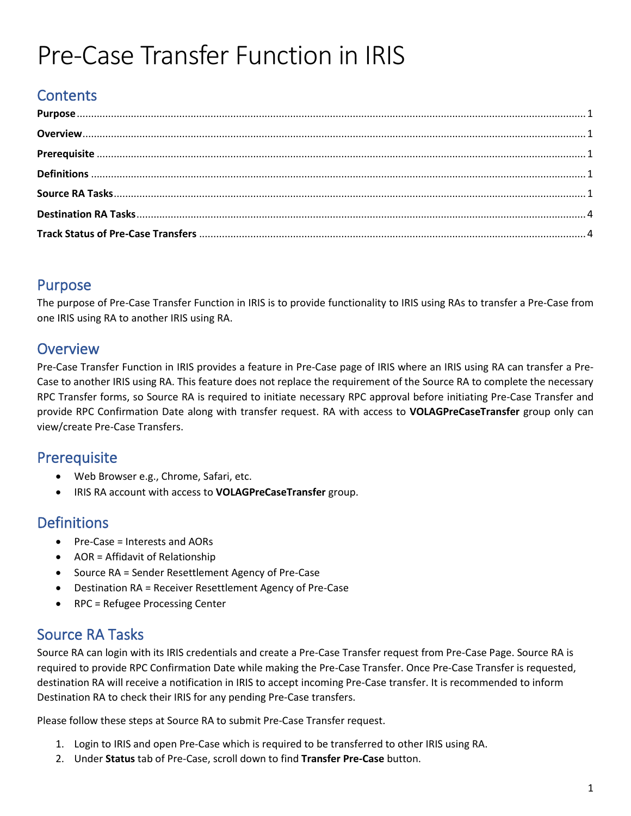# Pre-Case Transfer Function in IRIS

# **Contents**

### <span id="page-0-0"></span>Purpose

The purpose of Pre-Case Transfer Function in IRIS is to provide functionality to IRIS using RAs to transfer a Pre-Case from one IRIS using RA to another IRIS using RA.

#### <span id="page-0-1"></span>**Overview**

Pre-Case Transfer Function in IRIS provides a feature in Pre-Case page of IRIS where an IRIS using RA can transfer a Pre-Case to another IRIS using RA. This feature does not replace the requirement of the Source RA to complete the necessary RPC Transfer forms, so Source RA is required to initiate necessary RPC approval before initiating Pre-Case Transfer and provide RPC Confirmation Date along with transfer request. RA with access to **VOLAGPreCaseTransfer** group only can view/create Pre-Case Transfers.

#### <span id="page-0-2"></span>**Prerequisite**

- Web Browser e.g., Chrome, Safari, etc.
- IRIS RA account with access to **VOLAGPreCaseTransfer** group.

#### <span id="page-0-3"></span>**Definitions**

- Pre-Case = Interests and AORs
- AOR = Affidavit of Relationship
- Source RA = Sender Resettlement Agency of Pre-Case
- Destination RA = Receiver Resettlement Agency of Pre-Case
- RPC = Refugee Processing Center

#### <span id="page-0-4"></span>Source RA Tasks

Source RA can login with its IRIS credentials and create a Pre-Case Transfer request from Pre-Case Page. Source RA is required to provide RPC Confirmation Date while making the Pre-Case Transfer. Once Pre-Case Transfer is requested, destination RA will receive a notification in IRIS to accept incoming Pre-Case transfer. It is recommended to inform Destination RA to check their IRIS for any pending Pre-Case transfers.

Please follow these steps at Source RA to submit Pre-Case Transfer request.

- 1. Login to IRIS and open Pre-Case which is required to be transferred to other IRIS using RA.
- 2. Under **Status** tab of Pre-Case, scroll down to find **Transfer Pre-Case** button.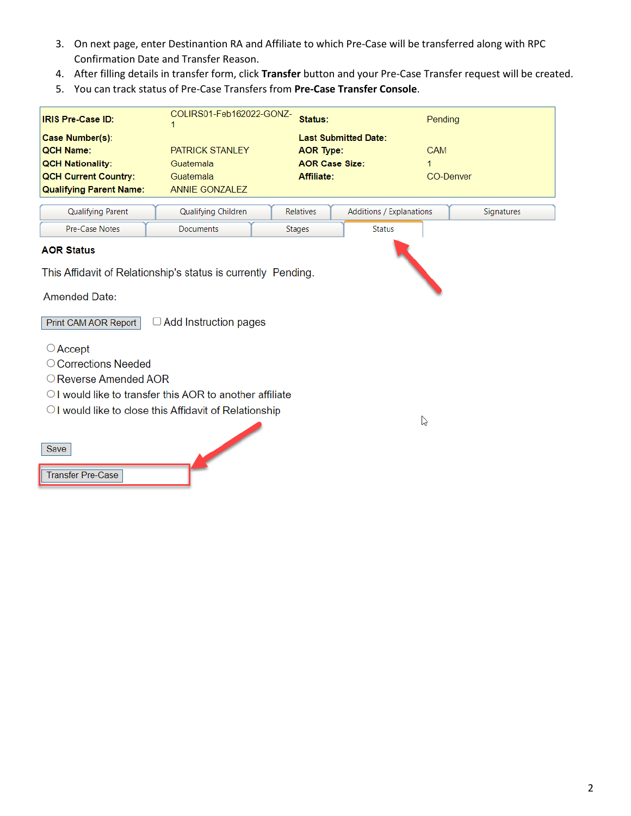- 3. On next page, enter Destinantion RA and Affiliate to which Pre-Case will be transferred along with RPC Confirmation Date and Transfer Reason.
- 4. After filling details in transfer form, click **Transfer** button and your Pre-Case Transfer request will be created.
- 5. You can track status of Pre-Case Transfers from **Pre-Case Transfer Console**.

| <b>IRIS Pre-Case ID:</b>                                      | COLIRS01-Feb162022-GONZ- | Status:               |                             | Pendina           |  |
|---------------------------------------------------------------|--------------------------|-----------------------|-----------------------------|-------------------|--|
| Case Number(s):                                               |                          |                       | <b>Last Submitted Date:</b> |                   |  |
| <b>OCH Name:</b>                                              | <b>PATRICK STANLEY</b>   | <b>AOR Type:</b>      |                             | <b>CAM</b>        |  |
| <b>QCH Nationality:</b>                                       | Guatemala                | <b>AOR Case Size:</b> |                             |                   |  |
| <b>QCH Current Country:</b>                                   | Guatemala                | Affiliate:            |                             | <b>CO-Denver</b>  |  |
| <b>Qualifying Parent Name:</b>                                | ANNIE GONZALEZ           |                       |                             |                   |  |
| <b>Qualifying Parent</b>                                      | Qualifying Children      | <b>Relatives</b>      | Additions / Explanations    | <b>Signatures</b> |  |
| Pre-Case Notes                                                | Documents                | <b>Stages</b>         | <b>Status</b>               |                   |  |
| <b>AOR Status</b>                                             |                          |                       |                             |                   |  |
| This Affidavit of Relationship's status is currently Pending. |                          |                       |                             |                   |  |

 $\heartsuit$ 

**Amended Date:** 

□ Add Instruction pages Print CAM AOR Report

- $\bigcirc$  Accept
- Corrections Needed
- O Reverse Amended AOR
- O I would like to transfer this AOR to another affiliate
- OI would like to close this Affidavit of Relationship

**Transfer Pre-Case**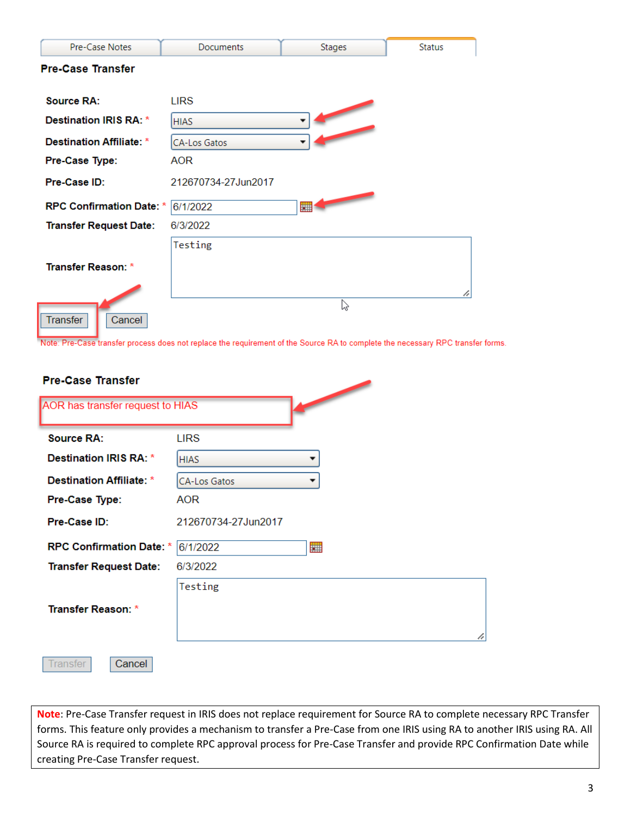| Pre-Case Notes                  | <b>Documents</b>    | <b>Stages</b> | <b>Status</b> |
|---------------------------------|---------------------|---------------|---------------|
| <b>Pre-Case Transfer</b>        |                     |               |               |
|                                 |                     |               |               |
| <b>Source RA:</b>               | <b>LIRS</b>         |               |               |
| Destination IRIS RA: *          | <b>HIAS</b>         |               |               |
| <b>Destination Affiliate: *</b> | CA-Los Gatos        |               |               |
| Pre-Case Type:                  | <b>AOR</b>          |               |               |
| Pre-Case ID:                    | 212670734-27Jun2017 |               |               |
| <b>RPC Confirmation Date: *</b> | 6/1/2022            |               |               |
| <b>Transfer Request Date:</b>   | 6/3/2022            |               |               |
|                                 | Testing             |               |               |
| <b>Transfer Reason: *</b>       |                     |               |               |
|                                 |                     |               | h             |
| Transfer<br>Cancel              |                     | じ             |               |

Note: Pre-Case transfer process does not replace the requirement of the Source RA to complete the necessary RPC transfer forms.

| <b>Pre-Case Transfer</b>         |                     |   |
|----------------------------------|---------------------|---|
| AOR has transfer request to HIAS |                     |   |
| <b>Source RA:</b>                | <b>LIRS</b>         |   |
| Destination IRIS RA: *           | <b>HIAS</b>         |   |
| <b>Destination Affiliate: *</b>  | <b>CA-Los Gatos</b> |   |
| Pre-Case Type:                   | AOR                 |   |
| Pre-Case ID:                     | 212670734-27Jun2017 |   |
| <b>RPC Confirmation Date: *</b>  | 6/1/2022            | 雦 |
| <b>Transfer Request Date:</b>    | 6/3/2022            |   |
|                                  | Testing             |   |
| <b>Transfer Reason: *</b>        |                     |   |
|                                  |                     |   |
| Transfer<br>Cancel               |                     |   |

**Note**: Pre-Case Transfer request in IRIS does not replace requirement for Source RA to complete necessary RPC Transfer forms. This feature only provides a mechanism to transfer a Pre-Case from one IRIS using RA to another IRIS using RA. All Source RA is required to complete RPC approval process for Pre-Case Transfer and provide RPC Confirmation Date while creating Pre-Case Transfer request.

h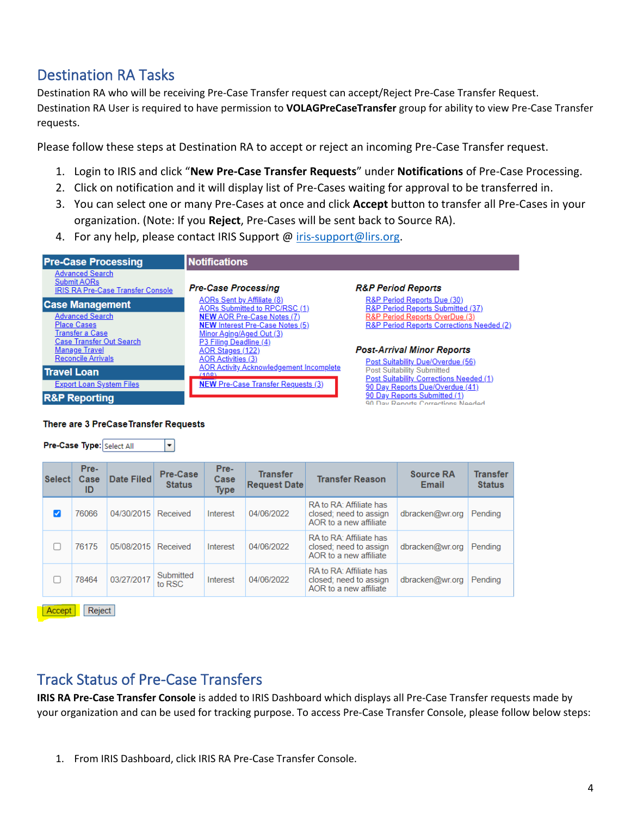## <span id="page-3-0"></span>Destination RA Tasks

Destination RA who will be receiving Pre-Case Transfer request can accept/Reject Pre-Case Transfer Request. Destination RA User is required to have permission to **VOLAGPreCaseTransfer** group for ability to view Pre-Case Transfer requests.

Please follow these steps at Destination RA to accept or reject an incoming Pre-Case Transfer request.

- 1. Login to IRIS and click "**New Pre-Case Transfer Requests**" under **Notifications** of Pre-Case Processing.
- 2. Click on notification and it will display list of Pre-Cases waiting for approval to be transferred in.
- 3. You can select one or many Pre-Cases at once and click **Accept** button to transfer all Pre-Cases in your organization. (Note: If you **Reject**, Pre-Cases will be sent back to Source RA).
- 4. For any help, please contact IRIS Support @ [iris-support@lirs.org.](iris-support@lirs.org)

| <b>Pre-Case Processing</b>                                                                         | <b>Notifications</b>                                                                                    |                                                                             |
|----------------------------------------------------------------------------------------------------|---------------------------------------------------------------------------------------------------------|-----------------------------------------------------------------------------|
| <b>Advanced Search</b><br>Submit AORs<br><b>IRIS RA Pre-Case Transfer Console</b>                  | <b>Pre-Case Processing</b>                                                                              | <b>R&amp;P Period Reports</b>                                               |
| <b>Case Management</b>                                                                             | <b>AORs Sent by Affiliate (8)</b><br>AORs Submitted to RPC/RSC (1)                                      | R&P Period Reports Due (30)<br>R&P Period Reports Submitted (37)            |
| <b>Advanced Search</b><br><b>Place Cases</b><br><b>Transfer a Case</b><br>Case Transfer Out Search | <b>NEW AOR Pre-Case Notes (7)</b><br><b>NEW Interest Pre-Case Notes (5)</b><br>Minor Aging/Aged Out (3) | R&P Period Reports OverDue (3)<br>R&P Period Reports Corrections Needed (2) |
| <b>Manage Travel</b><br><b>Reconcile Arrivals</b>                                                  | P3 Filing Deadline (4)<br>AOR Stages (122)<br><b>AOR Activities (3)</b>                                 | <b>Post-Arrival Minor Reports</b><br>Post Suitability Due/Overdue (56)      |
| <b>Travel Loan</b>                                                                                 | <b>AOR Activity Acknowledgement Incomplete</b><br>(108)                                                 | <b>Post Suitability Submitted</b>                                           |
| <b>Export Loan System Files</b>                                                                    | <b>NEW Pre-Case Transfer Requests (3)</b>                                                               | Post Suitability Corrections Needed (1)<br>90 Day Reports Due/Overdue (41)  |
| <b>R&amp;P Reporting</b>                                                                           |                                                                                                         | 90 Day Reports Submitted (1)<br>90 Day Reports Corrections Needed           |

#### There are 3 PreCase Transfer Requests

 $\vert \textbf{v} \vert$ 

Pre-Case Type: Select All

| <b>Select</b> | Pre-<br>Case<br>ID | <b>Date Filed</b> | Pre-Case<br><b>Status</b> | Pre-<br>Case<br><b>Type</b> | <b>Transfer</b><br><b>Request Date</b> | <b>Transfer Reason</b>                                                       | <b>Source RA</b><br>Email | <b>Transfer</b><br><b>Status</b> |
|---------------|--------------------|-------------------|---------------------------|-----------------------------|----------------------------------------|------------------------------------------------------------------------------|---------------------------|----------------------------------|
| ✓             | 76066              | 04/30/2015        | Received                  | Interest                    | 04/06/2022                             | RA to RA: Affiliate has<br>closed: need to assign<br>AOR to a new affiliate  | dbracken@wr.org           | Pending                          |
|               | 76175              | 05/08/2015        | Received                  | Interest                    | 04/06/2022                             | RA to RA: Affiliate has<br>closed; need to assign<br>AOR to a new affiliate  | dbracken@wr.org           | Pending                          |
|               | 78464              | 03/27/2017        | Submitted<br>to RSC       | Interest                    | 04/06/2022                             | RA to RA: Affiliate has<br>closed: need to assign<br>AOR to a new affiliate. | dbracken@wr.org           | Pendina                          |

Accept | Reject

### <span id="page-3-1"></span>Track Status of Pre-Case Transfers

**IRIS RA Pre-Case Transfer Console** is added to IRIS Dashboard which displays all Pre-Case Transfer requests made by your organization and can be used for tracking purpose. To access Pre-Case Transfer Console, please follow below steps:

1. From IRIS Dashboard, click IRIS RA Pre-Case Transfer Console.